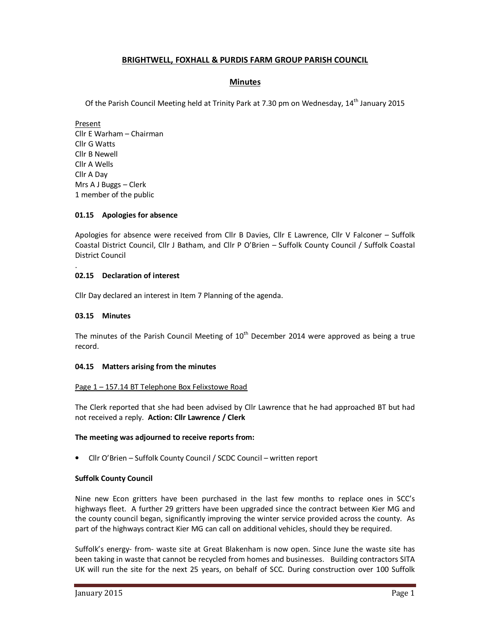# **BRIGHTWELL, FOXHALL & PURDIS FARM GROUP PARISH COUNCIL**

# **Minutes**

Of the Parish Council Meeting held at Trinity Park at 7.30 pm on Wednesday, 14<sup>th</sup> January 2015

Present Cllr E Warham – Chairman Cllr G Watts Cllr B Newell Cllr A Wells Cllr A Day Mrs A J Buggs – Clerk 1 member of the public

### **01.15 Apologies for absence**

Apologies for absence were received from Cllr B Davies, Cllr E Lawrence, Cllr V Falconer – Suffolk Coastal District Council, Cllr J Batham, and Cllr P O'Brien – Suffolk County Council / Suffolk Coastal District Council

# **02.15 Declaration of interest**

Cllr Day declared an interest in Item 7 Planning of the agenda.

### **03.15 Minutes**

.

The minutes of the Parish Council Meeting of  $10<sup>th</sup>$  December 2014 were approved as being a true record.

### **04.15 Matters arising from the minutes**

### Page 1 – 157.14 BT Telephone Box Felixstowe Road

The Clerk reported that she had been advised by Cllr Lawrence that he had approached BT but had not received a reply. **Action: Cllr Lawrence / Clerk**

### **The meeting was adjourned to receive reports from:**

• Cllr O'Brien – Suffolk County Council / SCDC Council – written report

### **Suffolk County Council**

Nine new Econ gritters have been purchased in the last few months to replace ones in SCC's highways fleet. A further 29 gritters have been upgraded since the contract between Kier MG and the county council began, significantly improving the winter service provided across the county. As part of the highways contract Kier MG can call on additional vehicles, should they be required.

Suffolk's energy- from- waste site at Great Blakenham is now open. Since June the waste site has been taking in waste that cannot be recycled from homes and businesses. Building contractors SITA UK will run the site for the next 25 years, on behalf of SCC. During construction over 100 Suffolk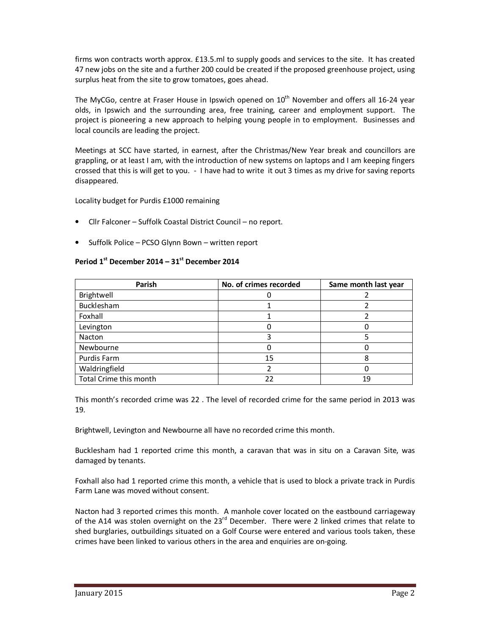firms won contracts worth approx. £13.5.ml to supply goods and services to the site. It has created 47 new jobs on the site and a further 200 could be created if the proposed greenhouse project, using surplus heat from the site to grow tomatoes, goes ahead.

The MyCGo, centre at Fraser House in Ipswich opened on  $10<sup>th</sup>$  November and offers all 16-24 year olds, in Ipswich and the surrounding area, free training, career and employment support. The project is pioneering a new approach to helping young people in to employment. Businesses and local councils are leading the project.

Meetings at SCC have started, in earnest, after the Christmas/New Year break and councillors are grappling, or at least I am, with the introduction of new systems on laptops and I am keeping fingers crossed that this is will get to you. - I have had to write it out 3 times as my drive for saving reports disappeared.

Locality budget for Purdis £1000 remaining

- Cllr Falconer Suffolk Coastal District Council no report.
- Suffolk Police PCSO Glynn Bown written report

# **Period 1st December 2014 – 31st December 2014**

| Parish                 | No. of crimes recorded | Same month last year |
|------------------------|------------------------|----------------------|
| Brightwell             |                        |                      |
| Bucklesham             |                        |                      |
| Foxhall                |                        |                      |
| Levington              |                        |                      |
| Nacton                 |                        |                      |
| Newbourne              |                        |                      |
| Purdis Farm            | 15                     |                      |
| Waldringfield          |                        |                      |
| Total Crime this month | 22                     | 19                   |

This month's recorded crime was 22 . The level of recorded crime for the same period in 2013 was 19.

Brightwell, Levington and Newbourne all have no recorded crime this month.

Bucklesham had 1 reported crime this month, a caravan that was in situ on a Caravan Site, was damaged by tenants.

Foxhall also had 1 reported crime this month, a vehicle that is used to block a private track in Purdis Farm Lane was moved without consent.

Nacton had 3 reported crimes this month. A manhole cover located on the eastbound carriageway of the A14 was stolen overnight on the  $23<sup>rd</sup>$  December. There were 2 linked crimes that relate to shed burglaries, outbuildings situated on a Golf Course were entered and various tools taken, these crimes have been linked to various others in the area and enquiries are on-going.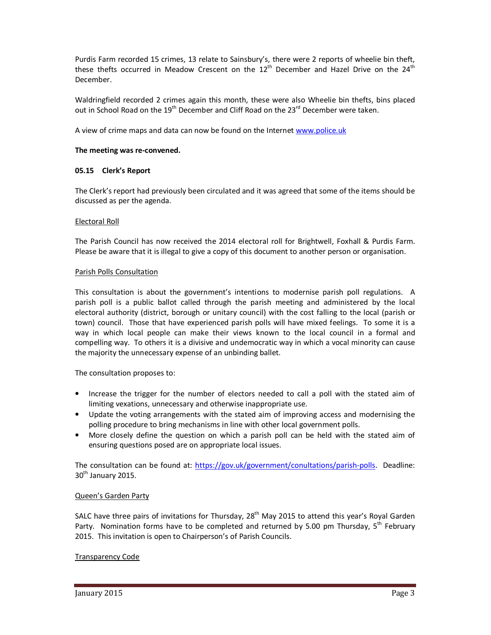Purdis Farm recorded 15 crimes, 13 relate to Sainsbury's, there were 2 reports of wheelie bin theft, these thefts occurred in Meadow Crescent on the  $12<sup>th</sup>$  December and Hazel Drive on the  $24<sup>th</sup>$ December.

Waldringfield recorded 2 crimes again this month, these were also Wheelie bin thefts, bins placed out in School Road on the  $19^{th}$  December and Cliff Road on the  $23^{rd}$  December were taken.

A view of crime maps and data can now be found on the Internet www.police.uk

### **The meeting was re-convened.**

# **05.15 Clerk's Report**

The Clerk's report had previously been circulated and it was agreed that some of the items should be discussed as per the agenda.

### Electoral Roll

The Parish Council has now received the 2014 electoral roll for Brightwell, Foxhall & Purdis Farm. Please be aware that it is illegal to give a copy of this document to another person or organisation.

### Parish Polls Consultation

This consultation is about the government's intentions to modernise parish poll regulations. A parish poll is a public ballot called through the parish meeting and administered by the local electoral authority (district, borough or unitary council) with the cost falling to the local (parish or town) council. Those that have experienced parish polls will have mixed feelings. To some it is a way in which local people can make their views known to the local council in a formal and compelling way. To others it is a divisive and undemocratic way in which a vocal minority can cause the majority the unnecessary expense of an unbinding ballet.

The consultation proposes to:

- Increase the trigger for the number of electors needed to call a poll with the stated aim of limiting vexations, unnecessary and otherwise inappropriate use.
- Update the voting arrangements with the stated aim of improving access and modernising the polling procedure to bring mechanisms in line with other local government polls.
- More closely define the question on which a parish poll can be held with the stated aim of ensuring questions posed are on appropriate local issues.

The consultation can be found at: https://gov.uk/government/conultations/parish-polls. Deadline:  $30<sup>th</sup>$  January 2015.

# Queen's Garden Party

SALC have three pairs of invitations for Thursday, 28<sup>th</sup> May 2015 to attend this year's Royal Garden Party. Nomination forms have to be completed and returned by 5.00 pm Thursday, 5<sup>th</sup> February 2015. This invitation is open to Chairperson's of Parish Councils.

# Transparency Code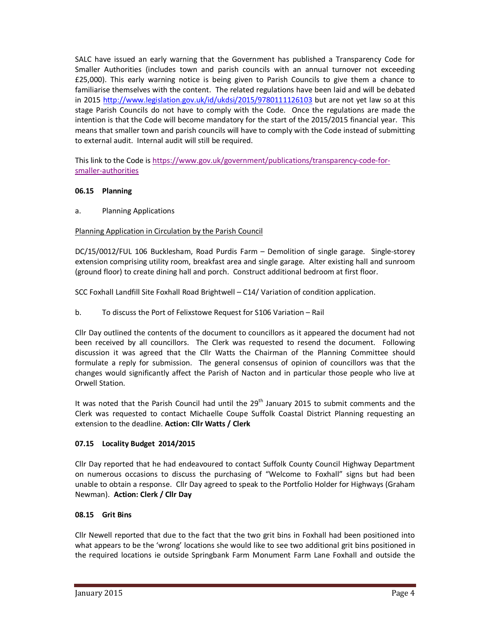SALC have issued an early warning that the Government has published a Transparency Code for Smaller Authorities (includes town and parish councils with an annual turnover not exceeding £25,000). This early warning notice is being given to Parish Councils to give them a chance to familiarise themselves with the content. The related regulations have been laid and will be debated in 2015 http://www.legislation.gov.uk/id/ukdsi/2015/9780111126103 but are not yet law so at this stage Parish Councils do not have to comply with the Code. Once the regulations are made the intention is that the Code will become mandatory for the start of the 2015/2015 financial year. This means that smaller town and parish councils will have to comply with the Code instead of submitting to external audit. Internal audit will still be required.

This link to the Code is https://www.gov.uk/government/publications/transparency-code-forsmaller-authorities

# **06.15 Planning**

a. Planning Applications

### Planning Application in Circulation by the Parish Council

DC/15/0012/FUL 106 Bucklesham, Road Purdis Farm – Demolition of single garage. Single-storey extension comprising utility room, breakfast area and single garage. Alter existing hall and sunroom (ground floor) to create dining hall and porch. Construct additional bedroom at first floor.

SCC Foxhall Landfill Site Foxhall Road Brightwell – C14/ Variation of condition application.

b. To discuss the Port of Felixstowe Request for S106 Variation – Rail

Cllr Day outlined the contents of the document to councillors as it appeared the document had not been received by all councillors. The Clerk was requested to resend the document. Following discussion it was agreed that the Cllr Watts the Chairman of the Planning Committee should formulate a reply for submission. The general consensus of opinion of councillors was that the changes would significantly affect the Parish of Nacton and in particular those people who live at Orwell Station.

It was noted that the Parish Council had until the 29<sup>th</sup> January 2015 to submit comments and the Clerk was requested to contact Michaelle Coupe Suffolk Coastal District Planning requesting an extension to the deadline. **Action: Cllr Watts / Clerk** 

# **07.15 Locality Budget 2014/2015**

Cllr Day reported that he had endeavoured to contact Suffolk County Council Highway Department on numerous occasions to discuss the purchasing of "Welcome to Foxhall" signs but had been unable to obtain a response. Cllr Day agreed to speak to the Portfolio Holder for Highways (Graham Newman). **Action: Clerk / Cllr Day** 

### **08.15 Grit Bins**

Cllr Newell reported that due to the fact that the two grit bins in Foxhall had been positioned into what appears to be the 'wrong' locations she would like to see two additional grit bins positioned in the required locations ie outside Springbank Farm Monument Farm Lane Foxhall and outside the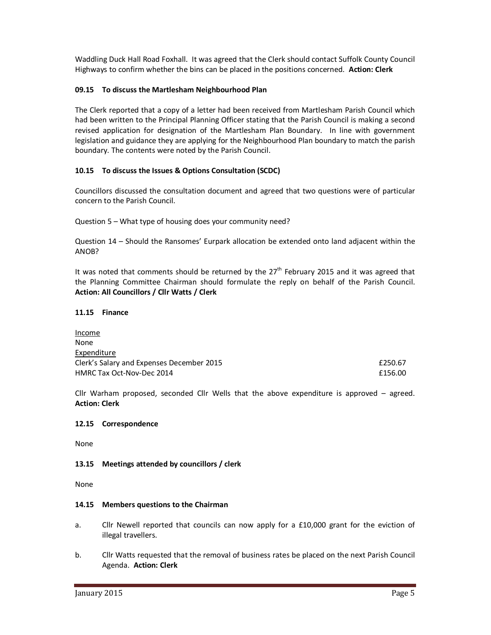Waddling Duck Hall Road Foxhall. It was agreed that the Clerk should contact Suffolk County Council Highways to confirm whether the bins can be placed in the positions concerned. **Action: Clerk** 

### **09.15 To discuss the Martlesham Neighbourhood Plan**

The Clerk reported that a copy of a letter had been received from Martlesham Parish Council which had been written to the Principal Planning Officer stating that the Parish Council is making a second revised application for designation of the Martlesham Plan Boundary. In line with government legislation and guidance they are applying for the Neighbourhood Plan boundary to match the parish boundary. The contents were noted by the Parish Council.

### **10.15 To discuss the Issues & Options Consultation (SCDC)**

Councillors discussed the consultation document and agreed that two questions were of particular concern to the Parish Council.

Question 5 – What type of housing does your community need?

Question 14 – Should the Ransomes' Eurpark allocation be extended onto land adjacent within the ANOB?

It was noted that comments should be returned by the  $27<sup>th</sup>$  February 2015 and it was agreed that the Planning Committee Chairman should formulate the reply on behalf of the Parish Council. **Action: All Councillors / Cllr Watts / Clerk** 

### **11.15 Finance**

| Income                                    |         |
|-------------------------------------------|---------|
| None                                      |         |
| Expenditure                               |         |
| Clerk's Salary and Expenses December 2015 | £250.67 |
| HMRC Tax Oct-Nov-Dec 2014                 | £156.00 |

Cllr Warham proposed, seconded Cllr Wells that the above expenditure is approved – agreed. **Action: Clerk** 

### **12.15 Correspondence**

None

### **13.15 Meetings attended by councillors / clerk**

None

### **14.15 Members questions to the Chairman**

- a. Cllr Newell reported that councils can now apply for a £10,000 grant for the eviction of illegal travellers.
- b. Cllr Watts requested that the removal of business rates be placed on the next Parish Council Agenda. **Action: Clerk**